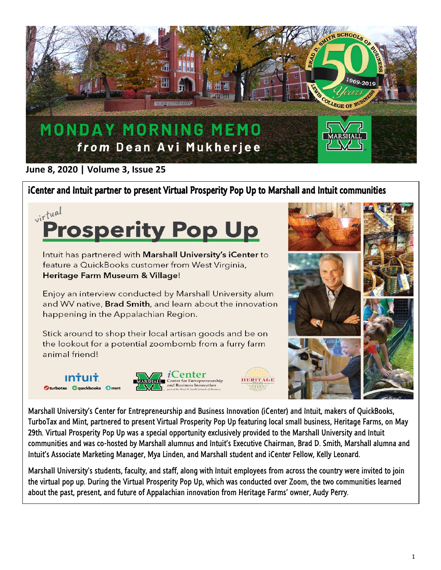

## **June 8, 2020 | Volume 3, Issue 25**

## iCenter and Intuit partner to present Virtual Prosperity Pop Up to Marshall and Intuit communities



Marshall University's Center for Entrepreneurship and Business Innovation (iCenter) and Intuit, makers of QuickBooks, TurboTax and Mint, partnered to present Virtual Prosperity Pop Up featuring local small business, Heritage Farms, on May 29th. Virtual Prosperity Pop Up was a special opportunity exclusively provided to the Marshall University and Intuit communities and was co-hosted by Marshall alumnus and Intuit's Executive Chairman, Brad D. Smith, Marshall alumna and Intuit's Associate Marketing Manager, Mya Linden, and Marshall student and iCenter Fellow, Kelly Leonard.

Marshall University's students, faculty, and staff, along with Intuit employees from across the country were invited to join the virtual pop up. During the Virtual Prosperity Pop Up, which was conducted over Zoom, the two communities learned about the past, present, and future of Appalachian innovation from Heritage Farms' owner, Audy Perry.